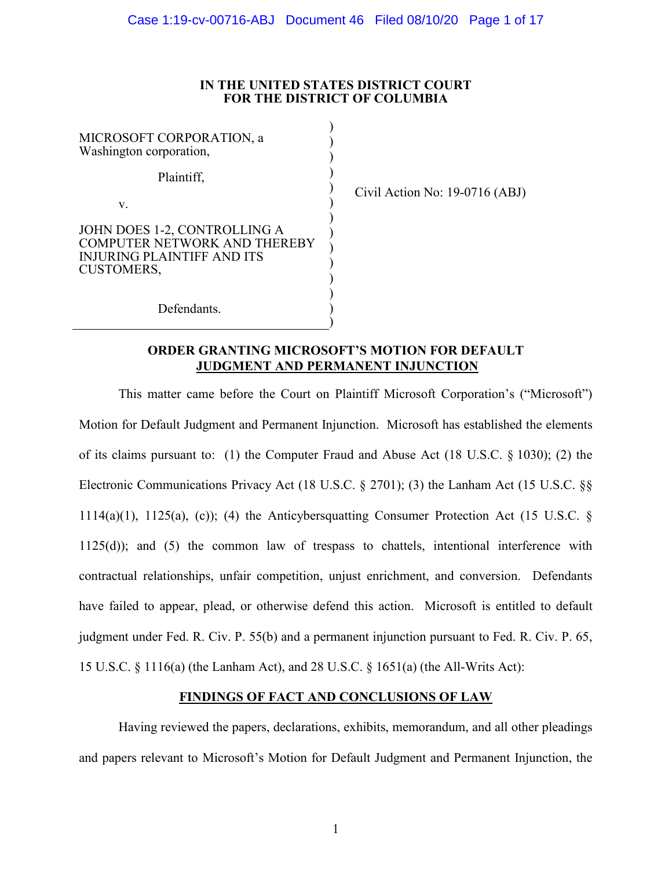## **IN THE UNITED STATES DISTRICT COURT FOR THE DISTRICT OF COLUMBIA**

| MICROSOFT CORPORATION, a<br>Washington corporation,                                                             |  |
|-----------------------------------------------------------------------------------------------------------------|--|
| Plaintiff,                                                                                                      |  |
| V.                                                                                                              |  |
| JOHN DOES 1-2, CONTROLLING A<br>COMPUTER NETWORK AND THEREBY<br>INIURING PLAINTIFF AND ITS<br><b>CUSTOMERS,</b> |  |
| Defendants.                                                                                                     |  |

Civil Action No: 19-0716 (ABJ)

# **ORDER GRANTING MICROSOFT'S MOTION FOR DEFAULT JUDGMENT AND PERMANENT INJUNCTION**

)

This matter came before the Court on Plaintiff Microsoft Corporation's ("Microsoft") Motion for Default Judgment and Permanent Injunction. Microsoft has established the elements of its claims pursuant to: (1) the Computer Fraud and Abuse Act (18 U.S.C. § 1030); (2) the Electronic Communications Privacy Act (18 U.S.C. § 2701); (3) the Lanham Act (15 U.S.C. §§ 1114(a)(1), 1125(a), (c)); (4) the Anticybersquatting Consumer Protection Act (15 U.S.C. § 1125(d)); and (5) the common law of trespass to chattels, intentional interference with contractual relationships, unfair competition, unjust enrichment, and conversion. Defendants have failed to appear, plead, or otherwise defend this action. Microsoft is entitled to default judgment under Fed. R. Civ. P. 55(b) and a permanent injunction pursuant to Fed. R. Civ. P. 65, 15 U.S.C. § 1116(a) (the Lanham Act), and 28 U.S.C. § 1651(a) (the All-Writs Act):

# **FINDINGS OF FACT AND CONCLUSIONS OF LAW**

Having reviewed the papers, declarations, exhibits, memorandum, and all other pleadings and papers relevant to Microsoft's Motion for Default Judgment and Permanent Injunction, the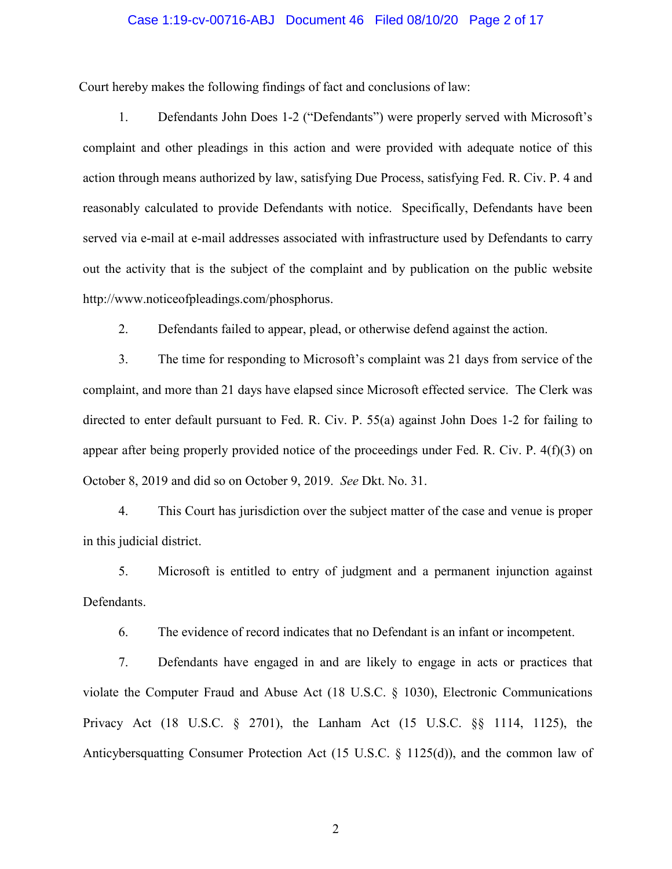### Case 1:19-cv-00716-ABJ Document 46 Filed 08/10/20 Page 2 of 17

Court hereby makes the following findings of fact and conclusions of law:

1. Defendants John Does 1-2 ("Defendants") were properly served with Microsoft's complaint and other pleadings in this action and were provided with adequate notice of this action through means authorized by law, satisfying Due Process, satisfying Fed. R. Civ. P. 4 and reasonably calculated to provide Defendants with notice. Specifically, Defendants have been served via e-mail at e-mail addresses associated with infrastructure used by Defendants to carry out the activity that is the subject of the complaint and by publication on the public website http://www.noticeofpleadings.com/phosphorus.

2. Defendants failed to appear, plead, or otherwise defend against the action.

3. The time for responding to Microsoft's complaint was 21 days from service of the complaint, and more than 21 days have elapsed since Microsoft effected service. The Clerk was directed to enter default pursuant to Fed. R. Civ. P. 55(a) against John Does 1-2 for failing to appear after being properly provided notice of the proceedings under Fed. R. Civ. P. 4(f)(3) on October 8, 2019 and did so on October 9, 2019. *See* Dkt. No. 31.

4. This Court has jurisdiction over the subject matter of the case and venue is proper in this judicial district.

5. Microsoft is entitled to entry of judgment and a permanent injunction against Defendants.

6. The evidence of record indicates that no Defendant is an infant or incompetent.

7. Defendants have engaged in and are likely to engage in acts or practices that violate the Computer Fraud and Abuse Act (18 U.S.C. § 1030), Electronic Communications Privacy Act (18 U.S.C. § 2701), the Lanham Act (15 U.S.C. §§ 1114, 1125), the Anticybersquatting Consumer Protection Act (15 U.S.C. § 1125(d)), and the common law of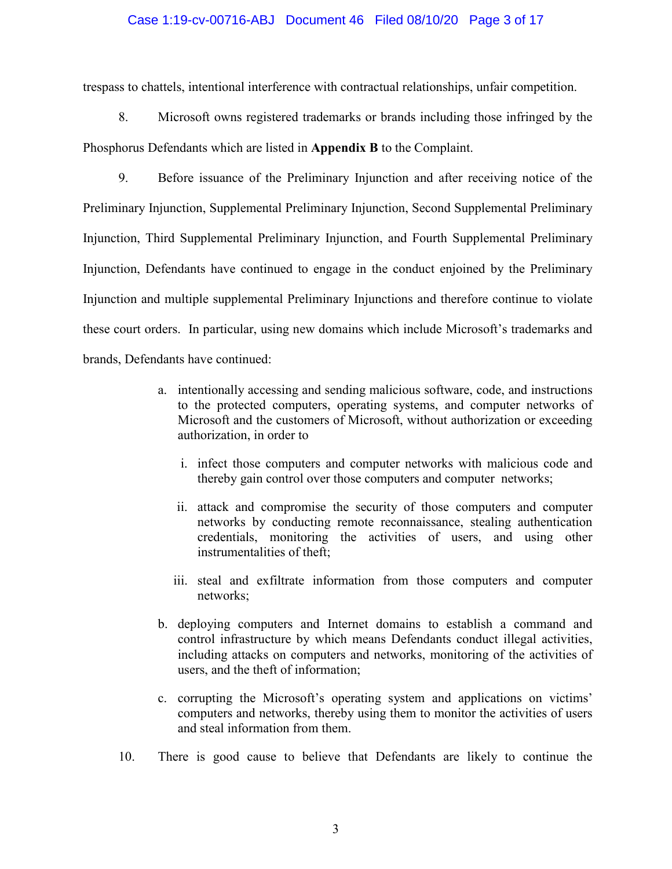### Case 1:19-cv-00716-ABJ Document 46 Filed 08/10/20 Page 3 of 17

trespass to chattels, intentional interference with contractual relationships, unfair competition.

8. Microsoft owns registered trademarks or brands including those infringed by the Phosphorus Defendants which are listed in **Appendix B** to the Complaint.

9. Before issuance of the Preliminary Injunction and after receiving notice of the Preliminary Injunction, Supplemental Preliminary Injunction, Second Supplemental Preliminary Injunction, Third Supplemental Preliminary Injunction, and Fourth Supplemental Preliminary Injunction, Defendants have continued to engage in the conduct enjoined by the Preliminary Injunction and multiple supplemental Preliminary Injunctions and therefore continue to violate these court orders. In particular, using new domains which include Microsoft's trademarks and brands, Defendants have continued:

- a. intentionally accessing and sending malicious software, code, and instructions to the protected computers, operating systems, and computer networks of Microsoft and the customers of Microsoft, without authorization or exceeding authorization, in order to
	- i. infect those computers and computer networks with malicious code and thereby gain control over those computers and computer networks;
	- ii. attack and compromise the security of those computers and computer networks by conducting remote reconnaissance, stealing authentication credentials, monitoring the activities of users, and using other instrumentalities of theft;
	- iii. steal and exfiltrate information from those computers and computer networks;
- b. deploying computers and Internet domains to establish a command and control infrastructure by which means Defendants conduct illegal activities, including attacks on computers and networks, monitoring of the activities of users, and the theft of information;
- c. corrupting the Microsoft's operating system and applications on victims' computers and networks, thereby using them to monitor the activities of users and steal information from them.
- 10. There is good cause to believe that Defendants are likely to continue the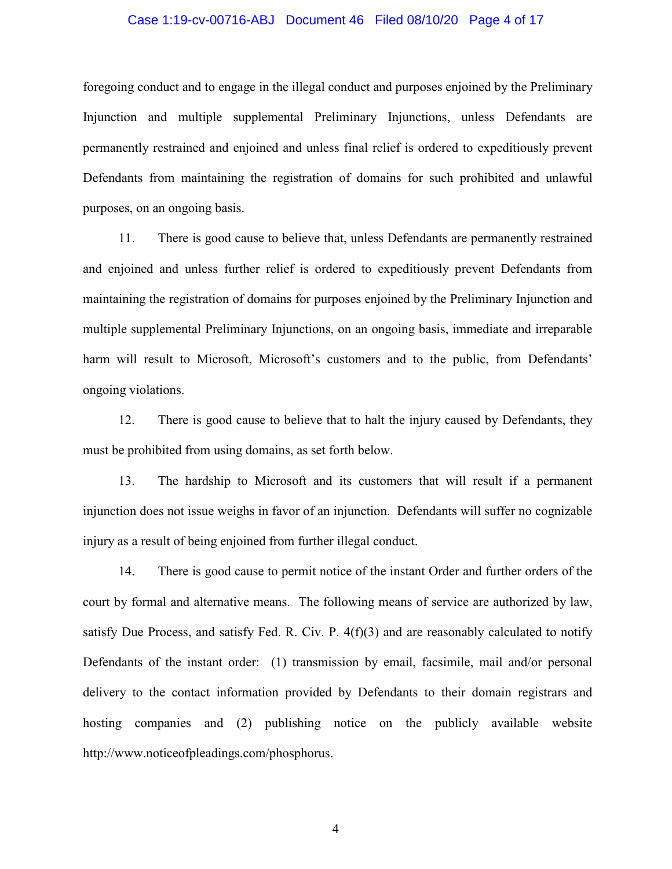#### Case 1:19-cv-00716-ABJ Document 46 Filed 08/10/20 Page 4 of 17

foregoing conduct and to engage in the illegal conduct and purposes enjoined by the Preliminary Injunction and multiple supplemental Preliminary Injunctions, unless Defendants are permanently restrained and enjoined and unless final relief is ordered to expeditiously prevent Defendants from maintaining the registration of domains for such prohibited and unlawful purposes, on an ongoing basis.

11. There is good cause to believe that, unless Defendants are permanently restrained and enjoined and unless further relief is ordered to expeditiously prevent Defendants from maintaining the registration of domains for purposes enjoined by the Preliminary Injunction and multiple supplemental Preliminary Injunctions, on an ongoing basis, immediate and irreparable harm will result to Microsoft, Microsoft's customers and to the public, from Defendants' ongoing violations.

12. There is good cause to believe that to halt the injury caused by Defendants, they must be prohibited from using domains, as set forth below.

13. The hardship to Microsoft and its customers that will result if a permanent injunction does not issue weighs in favor of an injunction. Defendants will suffer no cognizable injury as a result of being enjoined from further illegal conduct.

14. There is good cause to permit notice of the instant Order and further orders of the court by formal and alternative means. The following means of service are authorized by law, satisfy Due Process, and satisfy Fed. R. Civ. P.  $4(f)(3)$  and are reasonably calculated to notify Defendants of the instant order: (1) transmission by email, facsimile, mail and/or personal delivery to the contact information provided by Defendants to their domain registrars and hosting companies and (2) publishing notice on the publicly available website http://www.noticeofpleadings.com/phosphorus.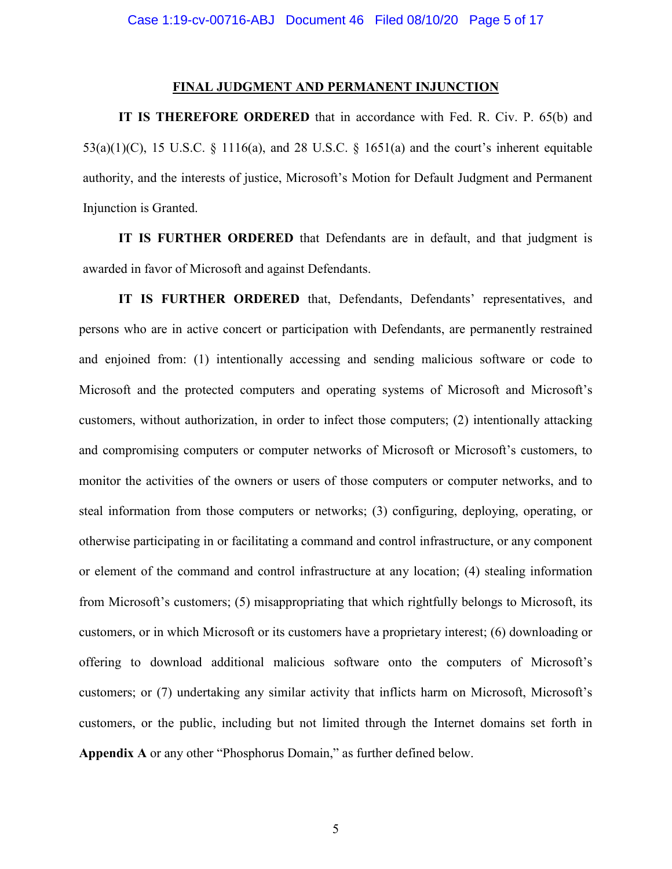#### **FINAL JUDGMENT AND PERMANENT INJUNCTION**

**IT IS THEREFORE ORDERED** that in accordance with Fed. R. Civ. P. 65(b) and  $53(a)(1)(C)$ , 15 U.S.C. § 1116(a), and 28 U.S.C. § 1651(a) and the court's inherent equitable authority, and the interests of justice, Microsoft's Motion for Default Judgment and Permanent Injunction is Granted.

**IT IS FURTHER ORDERED** that Defendants are in default, and that judgment is awarded in favor of Microsoft and against Defendants.

**IT IS FURTHER ORDERED** that, Defendants, Defendants' representatives, and persons who are in active concert or participation with Defendants, are permanently restrained and enjoined from: (1) intentionally accessing and sending malicious software or code to Microsoft and the protected computers and operating systems of Microsoft and Microsoft's customers, without authorization, in order to infect those computers; (2) intentionally attacking and compromising computers or computer networks of Microsoft or Microsoft's customers, to monitor the activities of the owners or users of those computers or computer networks, and to steal information from those computers or networks; (3) configuring, deploying, operating, or otherwise participating in or facilitating a command and control infrastructure, or any component or element of the command and control infrastructure at any location; (4) stealing information from Microsoft's customers; (5) misappropriating that which rightfully belongs to Microsoft, its customers, or in which Microsoft or its customers have a proprietary interest; (6) downloading or offering to download additional malicious software onto the computers of Microsoft's customers; or (7) undertaking any similar activity that inflicts harm on Microsoft, Microsoft's customers, or the public, including but not limited through the Internet domains set forth in **Appendix A** or any other "Phosphorus Domain," as further defined below.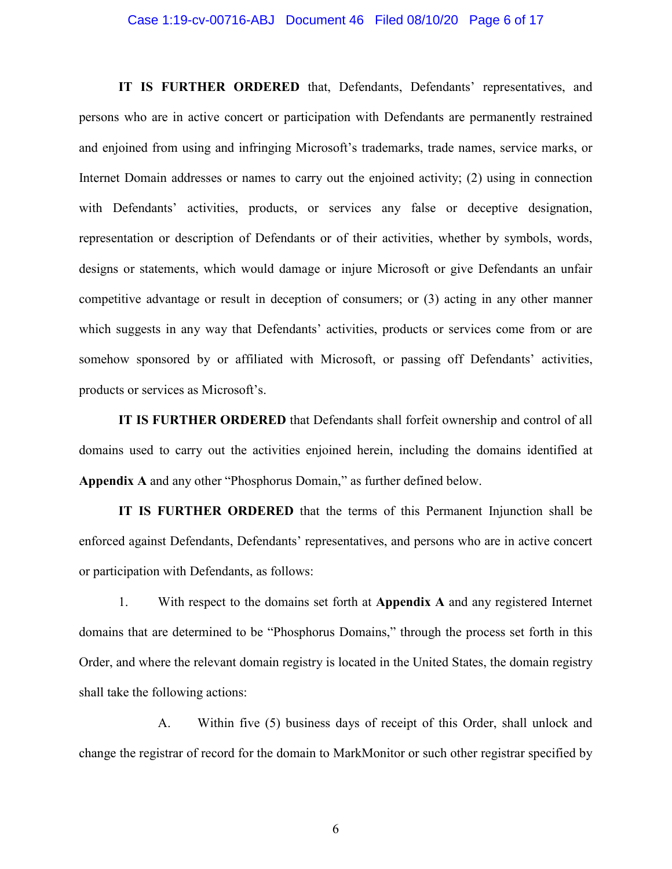#### Case 1:19-cv-00716-ABJ Document 46 Filed 08/10/20 Page 6 of 17

**IT IS FURTHER ORDERED** that, Defendants, Defendants' representatives, and persons who are in active concert or participation with Defendants are permanently restrained and enjoined from using and infringing Microsoft's trademarks, trade names, service marks, or Internet Domain addresses or names to carry out the enjoined activity; (2) using in connection with Defendants' activities, products, or services any false or deceptive designation, representation or description of Defendants or of their activities, whether by symbols, words, designs or statements, which would damage or injure Microsoft or give Defendants an unfair competitive advantage or result in deception of consumers; or (3) acting in any other manner which suggests in any way that Defendants' activities, products or services come from or are somehow sponsored by or affiliated with Microsoft, or passing off Defendants' activities, products or services as Microsoft's.

**IT IS FURTHER ORDERED** that Defendants shall forfeit ownership and control of all domains used to carry out the activities enjoined herein, including the domains identified at **Appendix A** and any other "Phosphorus Domain," as further defined below.

**IT IS FURTHER ORDERED** that the terms of this Permanent Injunction shall be enforced against Defendants, Defendants' representatives, and persons who are in active concert or participation with Defendants, as follows:

1. With respect to the domains set forth at **Appendix A** and any registered Internet domains that are determined to be "Phosphorus Domains," through the process set forth in this Order, and where the relevant domain registry is located in the United States, the domain registry shall take the following actions:

A. Within five (5) business days of receipt of this Order, shall unlock and change the registrar of record for the domain to MarkMonitor or such other registrar specified by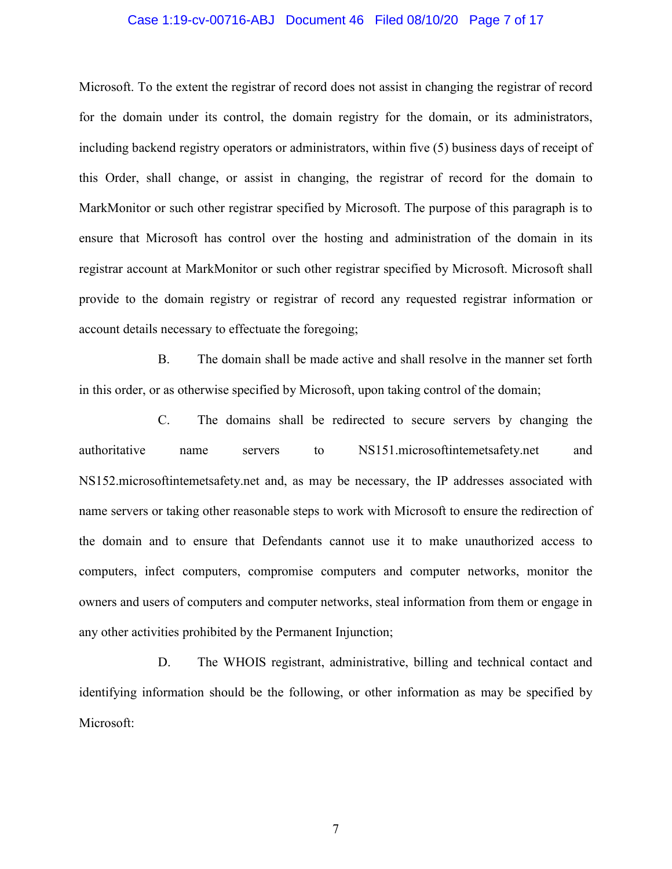#### Case 1:19-cv-00716-ABJ Document 46 Filed 08/10/20 Page 7 of 17

Microsoft. To the extent the registrar of record does not assist in changing the registrar of record for the domain under its control, the domain registry for the domain, or its administrators, including backend registry operators or administrators, within five (5) business days of receipt of this Order, shall change, or assist in changing, the registrar of record for the domain to MarkMonitor or such other registrar specified by Microsoft. The purpose of this paragraph is to ensure that Microsoft has control over the hosting and administration of the domain in its registrar account at MarkMonitor or such other registrar specified by Microsoft. Microsoft shall provide to the domain registry or registrar of record any requested registrar information or account details necessary to effectuate the foregoing;

B. The domain shall be made active and shall resolve in the manner set forth in this order, or as otherwise specified by Microsoft, upon taking control of the domain;

C. The domains shall be redirected to secure servers by changing the authoritative name servers to NS151.microsoftintemetsafety.net and NS152.microsoftintemetsafety.net and, as may be necessary, the IP addresses associated with name servers or taking other reasonable steps to work with Microsoft to ensure the redirection of the domain and to ensure that Defendants cannot use it to make unauthorized access to computers, infect computers, compromise computers and computer networks, monitor the owners and users of computers and computer networks, steal information from them or engage in any other activities prohibited by the Permanent Injunction;

D. The WHOIS registrant, administrative, billing and technical contact and identifying information should be the following, or other information as may be specified by Microsoft: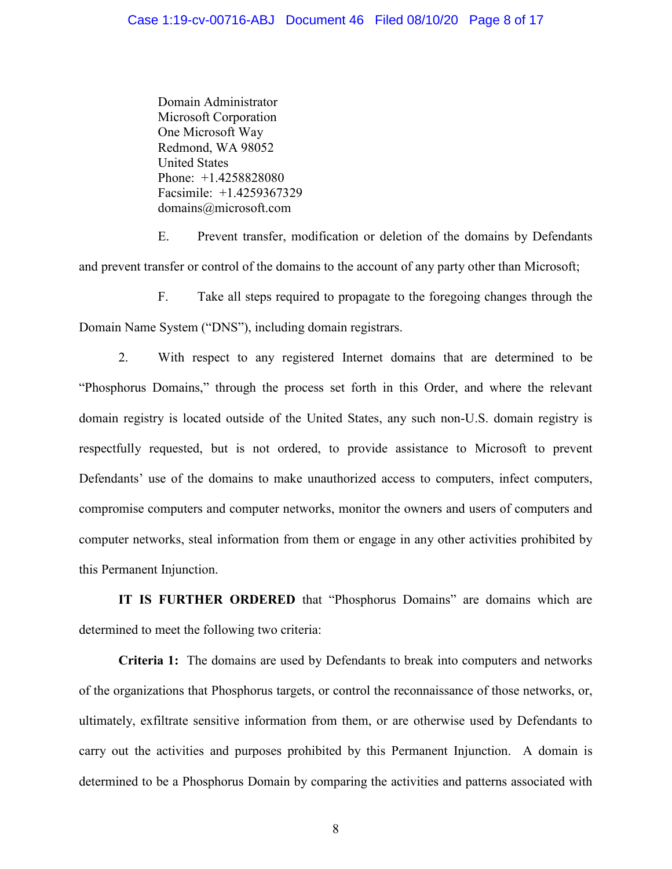Domain Administrator Microsoft Corporation One Microsoft Way Redmond, WA 98052 United States Phone: +1.4258828080 Facsimile: +1.4259367329 domains@microsoft.com

E. Prevent transfer, modification or deletion of the domains by Defendants and prevent transfer or control of the domains to the account of any party other than Microsoft;

F. Take all steps required to propagate to the foregoing changes through the Domain Name System ("DNS"), including domain registrars.

2. With respect to any registered Internet domains that are determined to be "Phosphorus Domains," through the process set forth in this Order, and where the relevant domain registry is located outside of the United States, any such non-U.S. domain registry is respectfully requested, but is not ordered, to provide assistance to Microsoft to prevent Defendants' use of the domains to make unauthorized access to computers, infect computers, compromise computers and computer networks, monitor the owners and users of computers and computer networks, steal information from them or engage in any other activities prohibited by this Permanent Injunction.

**IT IS FURTHER ORDERED** that "Phosphorus Domains" are domains which are determined to meet the following two criteria:

**Criteria 1:** The domains are used by Defendants to break into computers and networks of the organizations that Phosphorus targets, or control the reconnaissance of those networks, or, ultimately, exfiltrate sensitive information from them, or are otherwise used by Defendants to carry out the activities and purposes prohibited by this Permanent Injunction. A domain is determined to be a Phosphorus Domain by comparing the activities and patterns associated with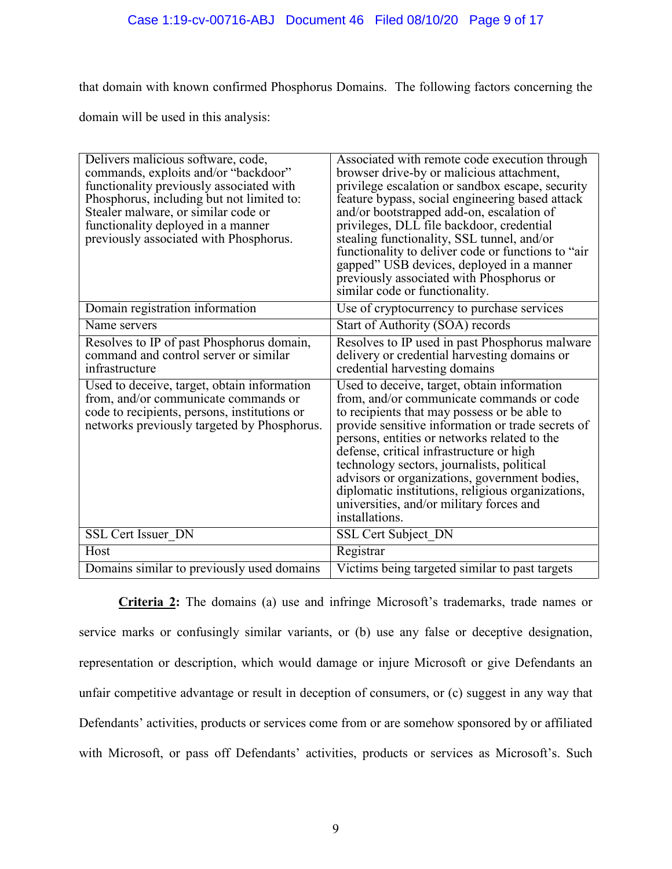that domain with known confirmed Phosphorus Domains. The following factors concerning the

domain will be used in this analysis:

| Delivers malicious software, code,<br>commands, exploits and/or "backdoor"<br>functionality previously associated with<br>Phosphorus, including but not limited to:<br>Stealer malware, or similar code or<br>functionality deployed in a manner<br>previously associated with Phosphorus. | Associated with remote code execution through<br>browser drive-by or malicious attachment,<br>privilege escalation or sandbox escape, security<br>feature bypass, social engineering based attack<br>and/or bootstrapped add-on, escalation of<br>privileges, DLL file backdoor, credential<br>stealing functionality, SSL tunnel, and/or<br>functionality to deliver code or functions to "air<br>gapped" USB devices, deployed in a manner<br>previously associated with Phosphorus or<br>similar code or functionality. |
|--------------------------------------------------------------------------------------------------------------------------------------------------------------------------------------------------------------------------------------------------------------------------------------------|----------------------------------------------------------------------------------------------------------------------------------------------------------------------------------------------------------------------------------------------------------------------------------------------------------------------------------------------------------------------------------------------------------------------------------------------------------------------------------------------------------------------------|
| Domain registration information                                                                                                                                                                                                                                                            | Use of cryptocurrency to purchase services                                                                                                                                                                                                                                                                                                                                                                                                                                                                                 |
| Name servers                                                                                                                                                                                                                                                                               | Start of Authority (SOA) records                                                                                                                                                                                                                                                                                                                                                                                                                                                                                           |
| Resolves to IP of past Phosphorus domain,<br>command and control server or similar<br>infrastructure                                                                                                                                                                                       | Resolves to IP used in past Phosphorus malware<br>delivery or credential harvesting domains or<br>credential harvesting domains                                                                                                                                                                                                                                                                                                                                                                                            |
| Used to deceive, target, obtain information<br>from, and/or communicate commands or<br>code to recipients, persons, institutions or<br>networks previously targeted by Phosphorus.                                                                                                         | Used to deceive, target, obtain information<br>from, and/or communicate commands or code<br>to recipients that may possess or be able to<br>provide sensitive information or trade secrets of<br>persons, entities or networks related to the<br>defense, critical infrastructure or high<br>technology sectors, journalists, political<br>advisors or organizations, government bodies,<br>diplomatic institutions, religious organizations,<br>universities, and/or military forces and<br>installations.                |
| <b>SSL Cert Issuer DN</b>                                                                                                                                                                                                                                                                  | SSL Cert Subject DN                                                                                                                                                                                                                                                                                                                                                                                                                                                                                                        |
| Host                                                                                                                                                                                                                                                                                       | Registrar                                                                                                                                                                                                                                                                                                                                                                                                                                                                                                                  |
| Domains similar to previously used domains                                                                                                                                                                                                                                                 | Victims being targeted similar to past targets                                                                                                                                                                                                                                                                                                                                                                                                                                                                             |

**Criteria 2:** The domains (a) use and infringe Microsoft's trademarks, trade names or service marks or confusingly similar variants, or (b) use any false or deceptive designation, representation or description, which would damage or injure Microsoft or give Defendants an unfair competitive advantage or result in deception of consumers, or (c) suggest in any way that Defendants' activities, products or services come from or are somehow sponsored by or affiliated with Microsoft, or pass off Defendants' activities, products or services as Microsoft's. Such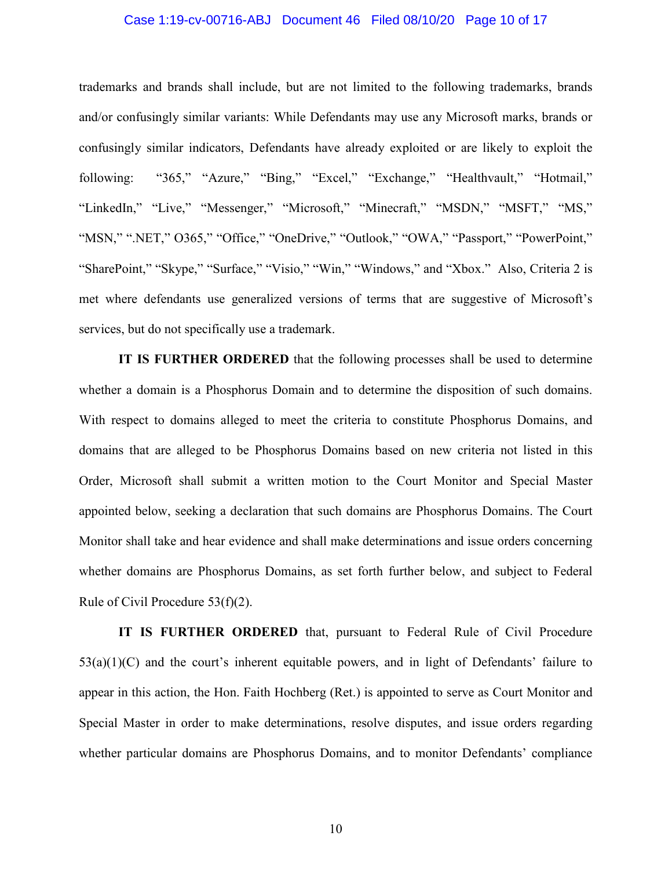### Case 1:19-cv-00716-ABJ Document 46 Filed 08/10/20 Page 10 of 17

trademarks and brands shall include, but are not limited to the following trademarks, brands and/or confusingly similar variants: While Defendants may use any Microsoft marks, brands or confusingly similar indicators, Defendants have already exploited or are likely to exploit the following: "365," "Azure," "Bing," "Excel," "Exchange," "Healthvault," "Hotmail," "LinkedIn," "Live," "Messenger," "Microsoft," "Minecraft," "MSDN," "MSFT," "MS," "MSN," ".NET," O365," "Office," "OneDrive," "Outlook," "OWA," "Passport," "PowerPoint," "SharePoint," "Skype," "Surface," "Visio," "Win," "Windows," and "Xbox." Also, Criteria 2 is met where defendants use generalized versions of terms that are suggestive of Microsoft's services, but do not specifically use a trademark.

**IT IS FURTHER ORDERED** that the following processes shall be used to determine whether a domain is a Phosphorus Domain and to determine the disposition of such domains. With respect to domains alleged to meet the criteria to constitute Phosphorus Domains, and domains that are alleged to be Phosphorus Domains based on new criteria not listed in this Order, Microsoft shall submit a written motion to the Court Monitor and Special Master appointed below, seeking a declaration that such domains are Phosphorus Domains. The Court Monitor shall take and hear evidence and shall make determinations and issue orders concerning whether domains are Phosphorus Domains, as set forth further below, and subject to Federal Rule of Civil Procedure 53(f)(2).

**IT IS FURTHER ORDERED** that, pursuant to Federal Rule of Civil Procedure  $53(a)(1)(C)$  and the court's inherent equitable powers, and in light of Defendants' failure to appear in this action, the Hon. Faith Hochberg (Ret.) is appointed to serve as Court Monitor and Special Master in order to make determinations, resolve disputes, and issue orders regarding whether particular domains are Phosphorus Domains, and to monitor Defendants' compliance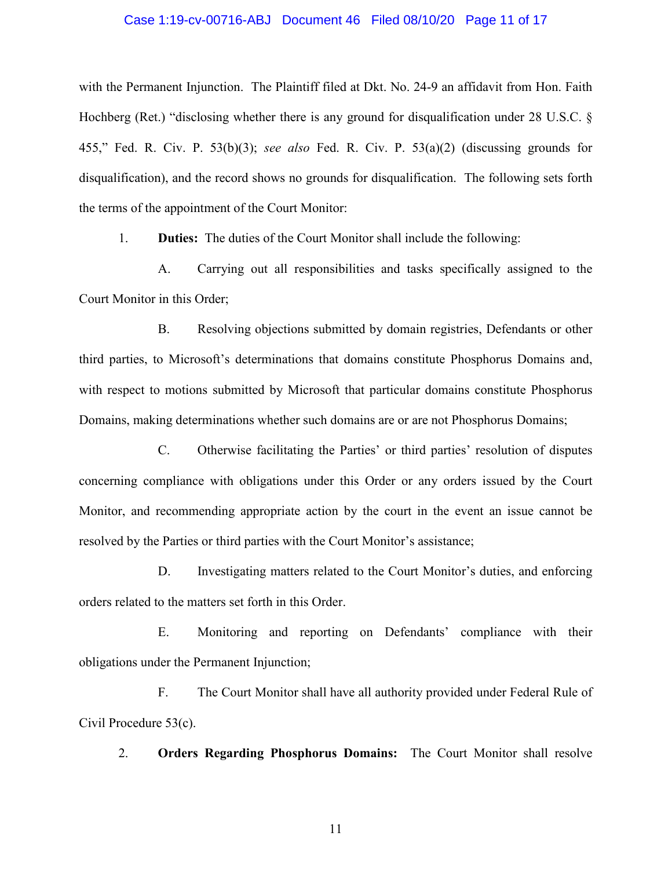### Case 1:19-cv-00716-ABJ Document 46 Filed 08/10/20 Page 11 of 17

with the Permanent Injunction. The Plaintiff filed at Dkt. No. 24-9 an affidavit from Hon. Faith Hochberg (Ret.) "disclosing whether there is any ground for disqualification under 28 U.S.C. § 455," Fed. R. Civ. P. 53(b)(3); *see also* Fed. R. Civ. P. 53(a)(2) (discussing grounds for disqualification), and the record shows no grounds for disqualification. The following sets forth the terms of the appointment of the Court Monitor:

1. **Duties:** The duties of the Court Monitor shall include the following:

A. Carrying out all responsibilities and tasks specifically assigned to the Court Monitor in this Order;

B. Resolving objections submitted by domain registries, Defendants or other third parties, to Microsoft's determinations that domains constitute Phosphorus Domains and, with respect to motions submitted by Microsoft that particular domains constitute Phosphorus Domains, making determinations whether such domains are or are not Phosphorus Domains;

C. Otherwise facilitating the Parties' or third parties' resolution of disputes concerning compliance with obligations under this Order or any orders issued by the Court Monitor, and recommending appropriate action by the court in the event an issue cannot be resolved by the Parties or third parties with the Court Monitor's assistance;

D. Investigating matters related to the Court Monitor's duties, and enforcing orders related to the matters set forth in this Order.

E. Monitoring and reporting on Defendants' compliance with their obligations under the Permanent Injunction;

F. The Court Monitor shall have all authority provided under Federal Rule of Civil Procedure 53(c).

2. **Orders Regarding Phosphorus Domains:** The Court Monitor shall resolve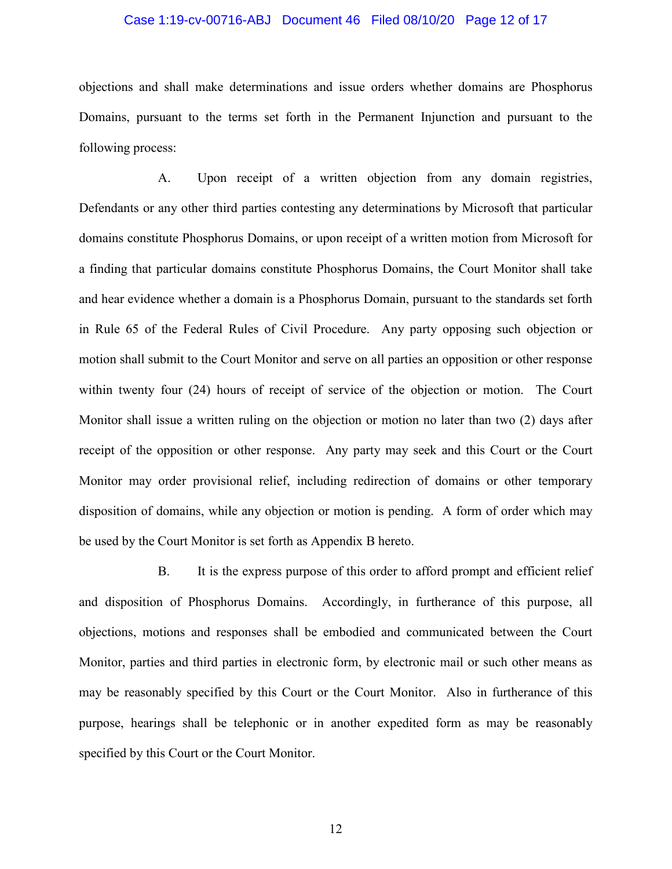### Case 1:19-cv-00716-ABJ Document 46 Filed 08/10/20 Page 12 of 17

objections and shall make determinations and issue orders whether domains are Phosphorus Domains, pursuant to the terms set forth in the Permanent Injunction and pursuant to the following process:

A. Upon receipt of a written objection from any domain registries, Defendants or any other third parties contesting any determinations by Microsoft that particular domains constitute Phosphorus Domains, or upon receipt of a written motion from Microsoft for a finding that particular domains constitute Phosphorus Domains, the Court Monitor shall take and hear evidence whether a domain is a Phosphorus Domain, pursuant to the standards set forth in Rule 65 of the Federal Rules of Civil Procedure. Any party opposing such objection or motion shall submit to the Court Monitor and serve on all parties an opposition or other response within twenty four (24) hours of receipt of service of the objection or motion. The Court Monitor shall issue a written ruling on the objection or motion no later than two (2) days after receipt of the opposition or other response. Any party may seek and this Court or the Court Monitor may order provisional relief, including redirection of domains or other temporary disposition of domains, while any objection or motion is pending. A form of order which may be used by the Court Monitor is set forth as Appendix B hereto.

B. It is the express purpose of this order to afford prompt and efficient relief and disposition of Phosphorus Domains. Accordingly, in furtherance of this purpose, all objections, motions and responses shall be embodied and communicated between the Court Monitor, parties and third parties in electronic form, by electronic mail or such other means as may be reasonably specified by this Court or the Court Monitor. Also in furtherance of this purpose, hearings shall be telephonic or in another expedited form as may be reasonably specified by this Court or the Court Monitor.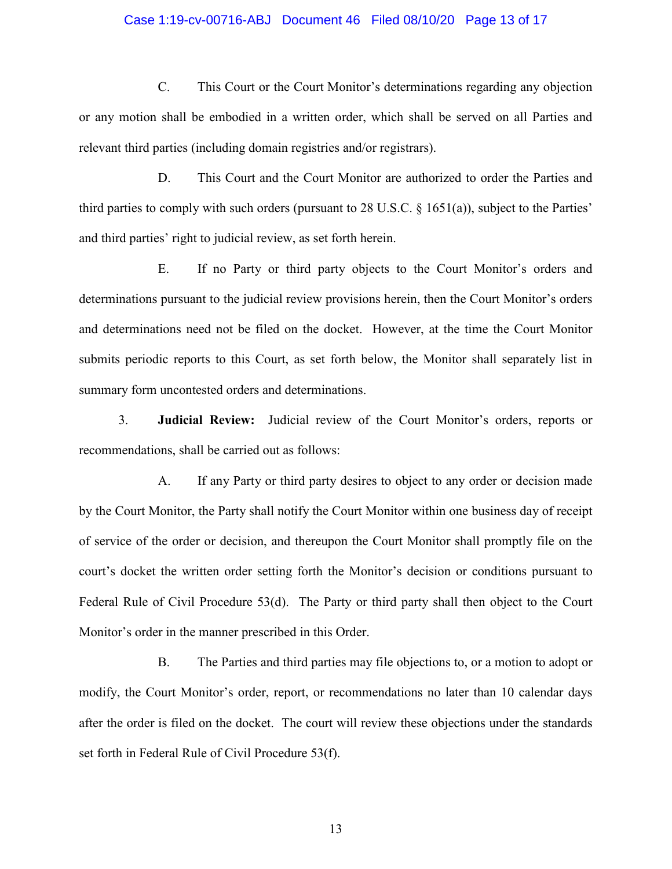### Case 1:19-cv-00716-ABJ Document 46 Filed 08/10/20 Page 13 of 17

C. This Court or the Court Monitor's determinations regarding any objection or any motion shall be embodied in a written order, which shall be served on all Parties and relevant third parties (including domain registries and/or registrars).

D. This Court and the Court Monitor are authorized to order the Parties and third parties to comply with such orders (pursuant to 28 U.S.C. § 1651(a)), subject to the Parties' and third parties' right to judicial review, as set forth herein.

E. If no Party or third party objects to the Court Monitor's orders and determinations pursuant to the judicial review provisions herein, then the Court Monitor's orders and determinations need not be filed on the docket. However, at the time the Court Monitor submits periodic reports to this Court, as set forth below, the Monitor shall separately list in summary form uncontested orders and determinations.

3. **Judicial Review:** Judicial review of the Court Monitor's orders, reports or recommendations, shall be carried out as follows:

A. If any Party or third party desires to object to any order or decision made by the Court Monitor, the Party shall notify the Court Monitor within one business day of receipt of service of the order or decision, and thereupon the Court Monitor shall promptly file on the court's docket the written order setting forth the Monitor's decision or conditions pursuant to Federal Rule of Civil Procedure 53(d). The Party or third party shall then object to the Court Monitor's order in the manner prescribed in this Order.

B. The Parties and third parties may file objections to, or a motion to adopt or modify, the Court Monitor's order, report, or recommendations no later than 10 calendar days after the order is filed on the docket. The court will review these objections under the standards set forth in Federal Rule of Civil Procedure 53(f).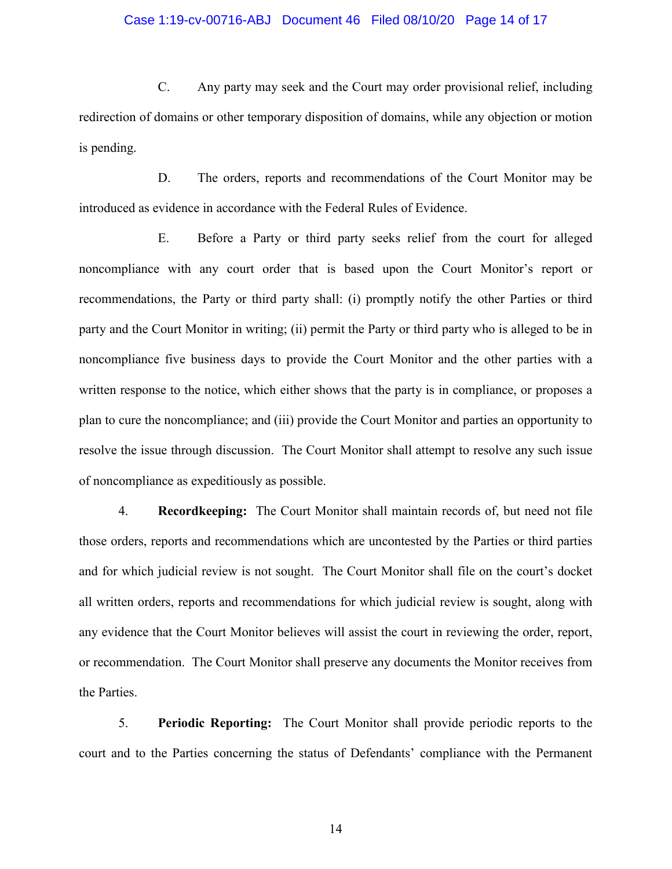### Case 1:19-cv-00716-ABJ Document 46 Filed 08/10/20 Page 14 of 17

C. Any party may seek and the Court may order provisional relief, including redirection of domains or other temporary disposition of domains, while any objection or motion is pending.

D. The orders, reports and recommendations of the Court Monitor may be introduced as evidence in accordance with the Federal Rules of Evidence.

E. Before a Party or third party seeks relief from the court for alleged noncompliance with any court order that is based upon the Court Monitor's report or recommendations, the Party or third party shall: (i) promptly notify the other Parties or third party and the Court Monitor in writing; (ii) permit the Party or third party who is alleged to be in noncompliance five business days to provide the Court Monitor and the other parties with a written response to the notice, which either shows that the party is in compliance, or proposes a plan to cure the noncompliance; and (iii) provide the Court Monitor and parties an opportunity to resolve the issue through discussion. The Court Monitor shall attempt to resolve any such issue of noncompliance as expeditiously as possible.

4. **Recordkeeping:** The Court Monitor shall maintain records of, but need not file those orders, reports and recommendations which are uncontested by the Parties or third parties and for which judicial review is not sought. The Court Monitor shall file on the court's docket all written orders, reports and recommendations for which judicial review is sought, along with any evidence that the Court Monitor believes will assist the court in reviewing the order, report, or recommendation. The Court Monitor shall preserve any documents the Monitor receives from the Parties.

5. **Periodic Reporting:** The Court Monitor shall provide periodic reports to the court and to the Parties concerning the status of Defendants' compliance with the Permanent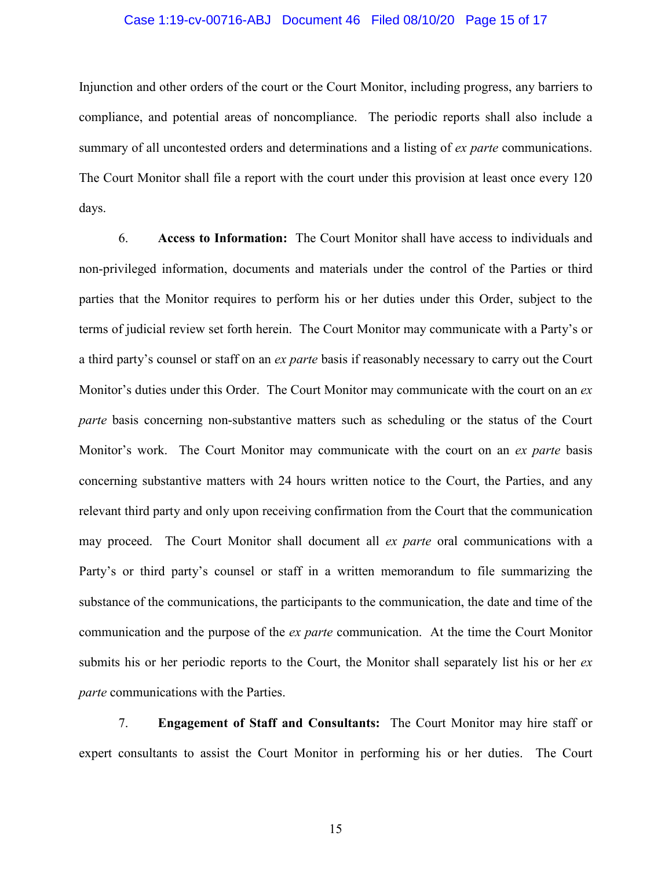### Case 1:19-cv-00716-ABJ Document 46 Filed 08/10/20 Page 15 of 17

Injunction and other orders of the court or the Court Monitor, including progress, any barriers to compliance, and potential areas of noncompliance. The periodic reports shall also include a summary of all uncontested orders and determinations and a listing of *ex parte* communications. The Court Monitor shall file a report with the court under this provision at least once every 120 days.

6. **Access to Information:** The Court Monitor shall have access to individuals and non-privileged information, documents and materials under the control of the Parties or third parties that the Monitor requires to perform his or her duties under this Order, subject to the terms of judicial review set forth herein. The Court Monitor may communicate with a Party's or a third party's counsel or staff on an *ex parte* basis if reasonably necessary to carry out the Court Monitor's duties under this Order. The Court Monitor may communicate with the court on an *ex parte* basis concerning non-substantive matters such as scheduling or the status of the Court Monitor's work. The Court Monitor may communicate with the court on an *ex parte* basis concerning substantive matters with 24 hours written notice to the Court, the Parties, and any relevant third party and only upon receiving confirmation from the Court that the communication may proceed. The Court Monitor shall document all *ex parte* oral communications with a Party's or third party's counsel or staff in a written memorandum to file summarizing the substance of the communications, the participants to the communication, the date and time of the communication and the purpose of the *ex parte* communication. At the time the Court Monitor submits his or her periodic reports to the Court, the Monitor shall separately list his or her *ex parte* communications with the Parties.

7. **Engagement of Staff and Consultants:** The Court Monitor may hire staff or expert consultants to assist the Court Monitor in performing his or her duties. The Court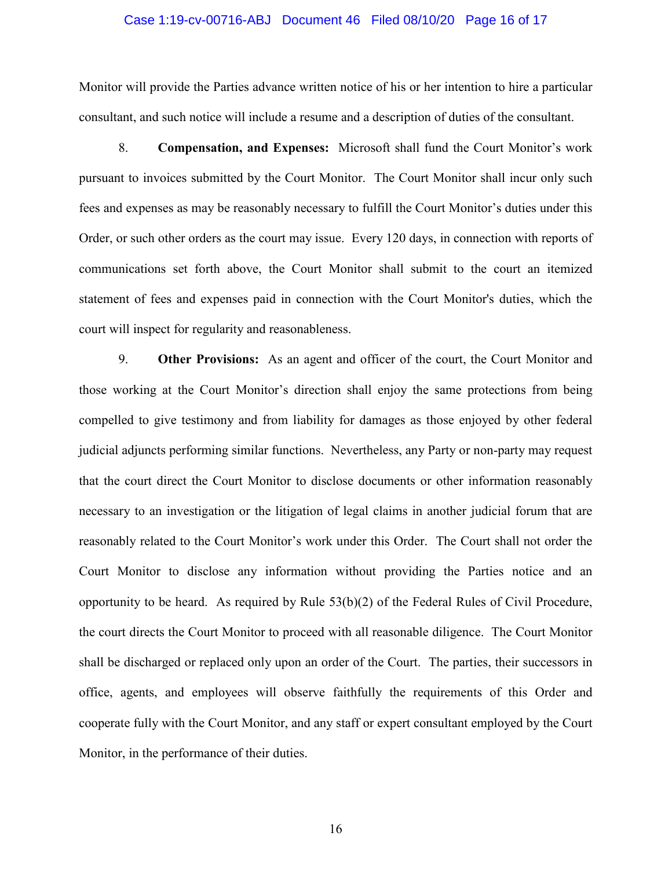#### Case 1:19-cv-00716-ABJ Document 46 Filed 08/10/20 Page 16 of 17

Monitor will provide the Parties advance written notice of his or her intention to hire a particular consultant, and such notice will include a resume and a description of duties of the consultant.

8. **Compensation, and Expenses:** Microsoft shall fund the Court Monitor's work pursuant to invoices submitted by the Court Monitor. The Court Monitor shall incur only such fees and expenses as may be reasonably necessary to fulfill the Court Monitor's duties under this Order, or such other orders as the court may issue. Every 120 days, in connection with reports of communications set forth above, the Court Monitor shall submit to the court an itemized statement of fees and expenses paid in connection with the Court Monitor's duties, which the court will inspect for regularity and reasonableness.

9. **Other Provisions:** As an agent and officer of the court, the Court Monitor and those working at the Court Monitor's direction shall enjoy the same protections from being compelled to give testimony and from liability for damages as those enjoyed by other federal judicial adjuncts performing similar functions. Nevertheless, any Party or non-party may request that the court direct the Court Monitor to disclose documents or other information reasonably necessary to an investigation or the litigation of legal claims in another judicial forum that are reasonably related to the Court Monitor's work under this Order. The Court shall not order the Court Monitor to disclose any information without providing the Parties notice and an opportunity to be heard. As required by Rule 53(b)(2) of the Federal Rules of Civil Procedure, the court directs the Court Monitor to proceed with all reasonable diligence. The Court Monitor shall be discharged or replaced only upon an order of the Court. The parties, their successors in office, agents, and employees will observe faithfully the requirements of this Order and cooperate fully with the Court Monitor, and any staff or expert consultant employed by the Court Monitor, in the performance of their duties.